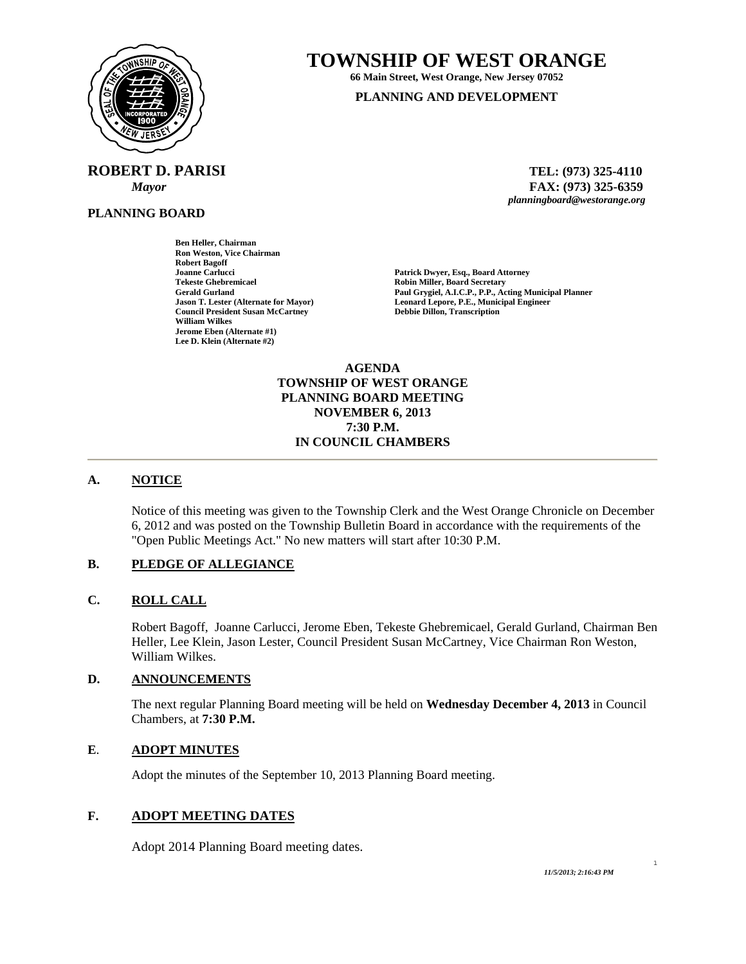

**ROBERT D. PARISI TEL: (973) 325-4110** 

**Ben Heller, Chairman Ron Weston, Vice Chairman** 

**Council President Susan McCartney** 

**Robert Bagoff** 

**William Wilkes Jerome Eben (Alternate #1) Lee D. Klein (Alternate #2)** 

**PLANNING BOARD**

**TOWNSHIP OF WEST ORANGE** 

**66 Main Street, West Orange, New Jersey 07052 PLANNING AND DEVELOPMENT**

 *Mayor* **FAX: (973) 325-6359** *planningboard@westorange.org* 

**Joanne Carlucci Patrick Dwyer, Esq., Board Attorney Tekeste Ghebremicael 2008**<br>
Robin Miller, Board Secretary<br>
Paul Grygiel, A.I.C.P., P.P., Ac **Gerald Gurland Paul Grygiel, A.I.C.P., P.P., Acting Municipal Planner Leonard Lepore, P.E., Municipal Engineer Debbie Dillon, Transcription** 

> **AGENDA TOWNSHIP OF WEST ORANGE PLANNING BOARD MEETING NOVEMBER 6, 2013 7:30 P.M. IN COUNCIL CHAMBERS**

### **A. NOTICE**

Notice of this meeting was given to the Township Clerk and the West Orange Chronicle on December 6, 2012 and was posted on the Township Bulletin Board in accordance with the requirements of the "Open Public Meetings Act." No new matters will start after 10:30 P.M.

### **B. PLEDGE OF ALLEGIANCE**

### **C. ROLL CALL**

Robert Bagoff, Joanne Carlucci, Jerome Eben, Tekeste Ghebremicael, Gerald Gurland, Chairman Ben Heller, Lee Klein, Jason Lester, Council President Susan McCartney, Vice Chairman Ron Weston, William Wilkes.

## **D. ANNOUNCEMENTS**

The next regular Planning Board meeting will be held on **Wednesday December 4, 2013** in Council Chambers, at **7:30 P.M.** 

# **E**. **ADOPT MINUTES**

Adopt the minutes of the September 10, 2013 Planning Board meeting.

# **F. ADOPT MEETING DATES**

Adopt 2014 Planning Board meeting dates.